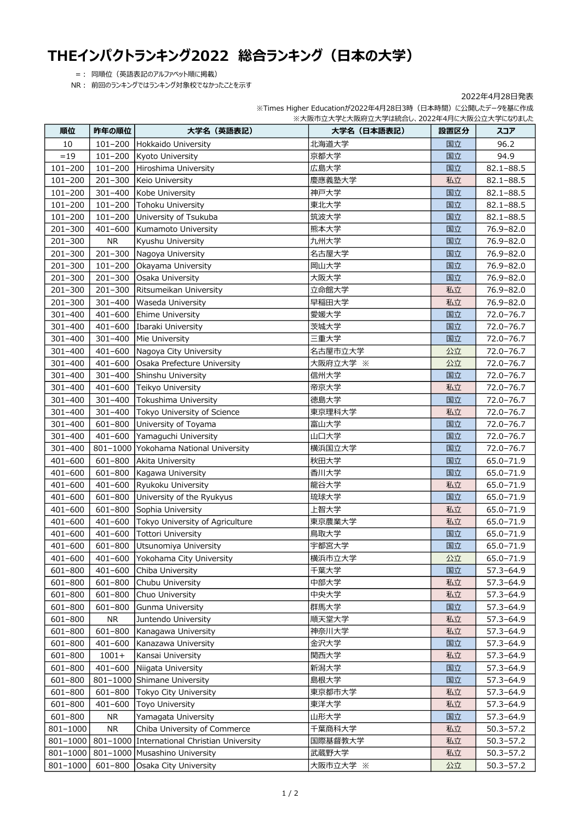## THEインパクトランキング2022 総合ランキング(日本の大学)

=: 同順位(英語表記のアルファベット順に掲載)

NR: 前回のランキングではランキング対象校でなかったことを示す

|             |             | ※大阪市立大学と大阪府立大学は統合し、2022年4月に大阪公立大学になりました     |            |      |               |  |  |  |
|-------------|-------------|---------------------------------------------|------------|------|---------------|--|--|--|
| 順位          | 昨年の順位       | 大学名(英語表記)                                   | 大学名(日本語表記) | 設置区分 | スコア           |  |  |  |
| 10          |             | 101-200 Hokkaido University                 | 北海道大学      | 国立   | 96.2          |  |  |  |
| $=19$       | 101-200     | <b>Kyoto University</b>                     | 京都大学       | 国立   | 94.9          |  |  |  |
| $101 - 200$ | $101 - 200$ | Hiroshima University                        | 広島大学       | 国立   | $82.1 - 88.5$ |  |  |  |
| $101 - 200$ | 201-300     | Keio University                             | 慶應義塾大学     | 私立   | $82.1 - 88.5$ |  |  |  |
| $101 - 200$ | 301-400     | Kobe University                             | 神戸大学       | 国立   | $82.1 - 88.5$ |  |  |  |
| $101 - 200$ | 101-200     | Tohoku University                           | 東北大学       | 国立   | $82.1 - 88.5$ |  |  |  |
| $101 - 200$ | 101-200     | University of Tsukuba                       | 筑波大学       | 国立   | $82.1 - 88.5$ |  |  |  |
| $201 - 300$ | 401-600     | Kumamoto University                         | 熊本大学       | 国立   | 76.9-82.0     |  |  |  |
| $201 - 300$ | NR.         | Kyushu University                           | 九州大学       | 国立   | 76.9-82.0     |  |  |  |
| $201 - 300$ | $201 - 300$ | Nagoya University                           | 名古屋大学      | 国立   | 76.9-82.0     |  |  |  |
| $201 - 300$ | $101 - 200$ | Okayama University                          | 岡山大学       | 国立   | 76.9-82.0     |  |  |  |
| $201 - 300$ | $201 - 300$ | Osaka University                            | 大阪大学       | 国立   | 76.9-82.0     |  |  |  |
| $201 - 300$ | $201 - 300$ | Ritsumeikan University                      | 立命館大学      | 私立   | 76.9-82.0     |  |  |  |
| $201 - 300$ | 301-400     | Waseda University                           | 早稲田大学      | 私立   | 76.9-82.0     |  |  |  |
| $301 - 400$ | $401 - 600$ | <b>Ehime University</b>                     | 愛媛大学       | 国立   | 72.0-76.7     |  |  |  |
| $301 - 400$ | 401-600     | Ibaraki University                          | 茨城大学       | 国立   | 72.0-76.7     |  |  |  |
| 301-400     | $301 - 400$ | Mie University                              | 三重大学       | 国立   | 72.0-76.7     |  |  |  |
| 301-400     |             | 401-600 Nagoya City University              | 名古屋市立大学    | 公立   | 72.0-76.7     |  |  |  |
| 301-400     | $401 - 600$ | Osaka Prefecture University                 | 大阪府立大学 ※   | 公立   | $72.0 - 76.7$ |  |  |  |
| 301-400     | 301-400     | Shinshu University                          | 信州大学       | 国立   | 72.0-76.7     |  |  |  |
| $301 - 400$ | 401-600     | Teikyo University                           | 帝京大学       | 私立   | 72.0-76.7     |  |  |  |
| 301-400     | 301-400     | Tokushima University                        | 徳島大学       | 国立   | 72.0-76.7     |  |  |  |
| 301-400     |             | 301-400 Tokyo University of Science         | 東京理科大学     | 私立   | 72.0-76.7     |  |  |  |
| $301 - 400$ |             | 601-800 University of Toyama                | 富山大学       | 国立   | 72.0-76.7     |  |  |  |
| 301-400     |             | 401-600 Yamaguchi University                | 山口大学       | 国立   | 72.0-76.7     |  |  |  |
| 301-400     |             | 801-1000 Yokohama National University       | 横浜国立大学     | 国立   | 72.0-76.7     |  |  |  |
| 401-600     | 601-800     | Akita University                            | 秋田大学       | 国立   | 65.0-71.9     |  |  |  |
| $401 - 600$ | 601-800     | Kagawa University                           | 香川大学       | 国立   | 65.0-71.9     |  |  |  |
| $401 - 600$ | $401 - 600$ | Ryukoku University                          | 龍谷大学       | 私立   | 65.0-71.9     |  |  |  |
| 401-600     | 601-800     | University of the Ryukyus                   | 琉球大学       | 国立   | 65.0-71.9     |  |  |  |
| 401-600     | 601-800     | Sophia University                           | 上智大学       | 私立   | 65.0-71.9     |  |  |  |
| 401-600     | 401-600     | Tokyo University of Agriculture             | 東京農業大学     | 私立   | 65.0-71.9     |  |  |  |
| 401-600     | $401 - 600$ | Tottori University                          | 鳥取大学       | 国立   | 65.0-71.9     |  |  |  |
| 401-600     |             | 601-800 Utsunomiya University               | 宇都宮大学      | 国立   | 65.0-71.9     |  |  |  |
| 401-600     | $401 - 600$ | Yokohama City University                    | 横浜市立大学     | 公立   | 65.0-71.9     |  |  |  |
| 601-800     | $401 - 600$ | Chiba University                            | 千葉大学       | 国立   | 57.3-64.9     |  |  |  |
| 601-800     | 601-800     | Chubu University                            | 中部大学       | 私立   | $57.3 - 64.9$ |  |  |  |
| 601-800     | 601-800     | Chuo University                             | 中央大学       | 私立   | 57.3-64.9     |  |  |  |
| 601-800     | 601-800     | Gunma University                            | 群馬大学       | 国立   | $57.3 - 64.9$ |  |  |  |
| 601-800     | <b>NR</b>   | Juntendo University                         | 順天堂大学      | 私立   | $57.3 - 64.9$ |  |  |  |
| 601-800     | 601-800     | Kanagawa University                         | 神奈川大学      | 私立   | 57.3-64.9     |  |  |  |
| 601-800     | 401-600     | Kanazawa University                         | 金沢大学       | 国立   | 57.3-64.9     |  |  |  |
| 601-800     | $1001+$     | Kansai University                           | 関西大学       | 私立   | $57.3 - 64.9$ |  |  |  |
| 601-800     | $401 - 600$ | Niigata University                          | 新潟大学       | 国立   | 57.3-64.9     |  |  |  |
| 601-800     |             | 801-1000 Shimane University                 | 島根大学       | 国立   | 57.3-64.9     |  |  |  |
| 601-800     | 601-800     | Tokyo City University                       | 東京都市大学     | 私立   | $57.3 - 64.9$ |  |  |  |
| 601-800     | 401-600     | <b>Toyo University</b>                      | 東洋大学       | 私立   | 57.3-64.9     |  |  |  |
| 601-800     | <b>NR</b>   | Yamagata University                         | 山形大学       | 国立   | 57.3-64.9     |  |  |  |
| 801-1000    | <b>NR</b>   | Chiba University of Commerce                | 千葉商科大学     | 私立   | $50.3 - 57.2$ |  |  |  |
| 801-1000    |             | 801-1000 International Christian University | 国際基督教大学    | 私立   | $50.3 - 57.2$ |  |  |  |
| 801-1000    |             | 801-1000 Musashino University               | 武蔵野大学      | 私立   | $50.3 - 57.2$ |  |  |  |
| 801-1000    |             | 601-800 Osaka City University               | 大阪市立大学 ※   | 公立   | $50.3 - 57.2$ |  |  |  |

2022年4月28日発表 ※Times Higher Educationが2022年4月28日3時(日本時間)に公開したデータを基に作成